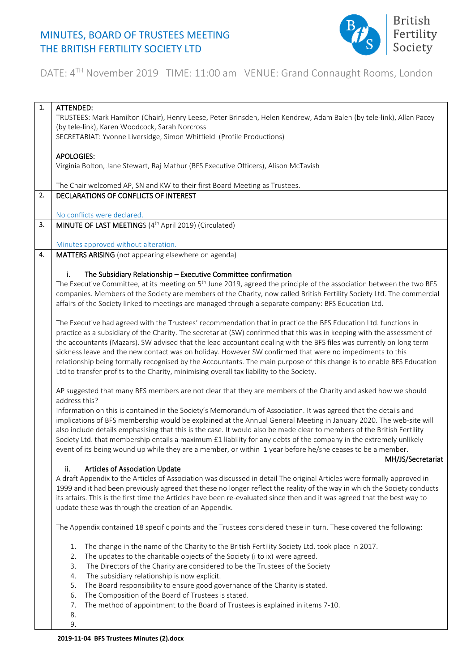

#### DATE: 4<sup>TH</sup> November 2019 TIME: 11:00 am VENUE: Grand Connaught Rooms, London

| 1. | ATTENDED:                                                                                                                                                                                       |
|----|-------------------------------------------------------------------------------------------------------------------------------------------------------------------------------------------------|
|    | TRUSTEES: Mark Hamilton (Chair), Henry Leese, Peter Brinsden, Helen Kendrew, Adam Balen (by tele-link), Allan Pacey                                                                             |
|    | (by tele-link), Karen Woodcock, Sarah Norcross                                                                                                                                                  |
|    | SECRETARIAT: Yvonne Liversidge, Simon Whitfield (Profile Productions)                                                                                                                           |
|    |                                                                                                                                                                                                 |
|    | <b>APOLOGIES:</b>                                                                                                                                                                               |
|    | Virginia Bolton, Jane Stewart, Raj Mathur (BFS Executive Officers), Alison McTavish                                                                                                             |
|    | The Chair welcomed AP, SN and KW to their first Board Meeting as Trustees.                                                                                                                      |
| 2. | DECLARATIONS OF CONFLICTS OF INTEREST                                                                                                                                                           |
|    |                                                                                                                                                                                                 |
|    | No conflicts were declared.                                                                                                                                                                     |
| 3. | MINUTE OF LAST MEETINGS (4 <sup>th</sup> April 2019) (Circulated)                                                                                                                               |
|    |                                                                                                                                                                                                 |
|    | Minutes approved without alteration.                                                                                                                                                            |
| 4. | MATTERS ARISING (not appearing elsewhere on agenda)                                                                                                                                             |
|    |                                                                                                                                                                                                 |
|    | The Subsidiary Relationship - Executive Committee confirmation<br>i.<br>The Executive Committee, at its meeting on $5th$ June 2019, agreed the principle of the association between the two BFS |
|    | companies. Members of the Society are members of the Charity, now called British Fertility Society Ltd. The commercial                                                                          |
|    | affairs of the Society linked to meetings are managed through a separate company: BFS Education Ltd.                                                                                            |
|    |                                                                                                                                                                                                 |
|    | The Executive had agreed with the Trustees' recommendation that in practice the BFS Education Ltd. functions in                                                                                 |
|    | practice as a subsidiary of the Charity. The secretariat (SW) confirmed that this was in keeping with the assessment of                                                                         |
|    | the accountants (Mazars). SW advised that the lead accountant dealing with the BFS files was currently on long term                                                                             |
|    | sickness leave and the new contact was on holiday. However SW confirmed that were no impediments to this                                                                                        |
|    | relationship being formally recognised by the Accountants. The main purpose of this change is to enable BFS Education                                                                           |
|    | Ltd to transfer profits to the Charity, minimising overall tax liability to the Society.                                                                                                        |
|    |                                                                                                                                                                                                 |
|    | AP suggested that many BFS members are not clear that they are members of the Charity and asked how we should<br>address this?                                                                  |
|    | Information on this is contained in the Society's Memorandum of Association. It was agreed that the details and                                                                                 |
|    | implications of BFS membership would be explained at the Annual General Meeting in January 2020. The web-site will                                                                              |
|    | also include details emphasising that this is the case. It would also be made clear to members of the British Fertility                                                                         |
|    | Society Ltd. that membership entails a maximum £1 liability for any debts of the company in the extremely unlikely                                                                              |
|    | event of its being wound up while they are a member, or within 1 year before he/she ceases to be a member.                                                                                      |
|    | MH/JS/Secretariat                                                                                                                                                                               |
|    | Articles of Association Update<br>ii.                                                                                                                                                           |
|    | A draft Appendix to the Articles of Association was discussed in detail The original Articles were formally approved in                                                                         |
|    | 1999 and it had been previously agreed that these no longer reflect the reality of the way in which the Society conducts                                                                        |
|    | its affairs. This is the first time the Articles have been re-evaluated since then and it was agreed that the best way to                                                                       |
|    | update these was through the creation of an Appendix.                                                                                                                                           |
|    | The Appendix contained 18 specific points and the Trustees considered these in turn. These covered the following:                                                                               |
|    |                                                                                                                                                                                                 |
|    | The change in the name of the Charity to the British Fertility Society Ltd. took place in 2017.<br>1.                                                                                           |
|    | The updates to the charitable objects of the Society (i to ix) were agreed.<br>2.                                                                                                               |
|    | The Directors of the Charity are considered to be the Trustees of the Society<br>3.                                                                                                             |
|    | The subsidiary relationship is now explicit.<br>4.                                                                                                                                              |
|    | The Board responsibility to ensure good governance of the Charity is stated.<br>5.                                                                                                              |
|    | The Composition of the Board of Trustees is stated.<br>6.                                                                                                                                       |
|    | The method of appointment to the Board of Trustees is explained in items 7-10.<br>7.                                                                                                            |
|    | 8.                                                                                                                                                                                              |
|    | 9.                                                                                                                                                                                              |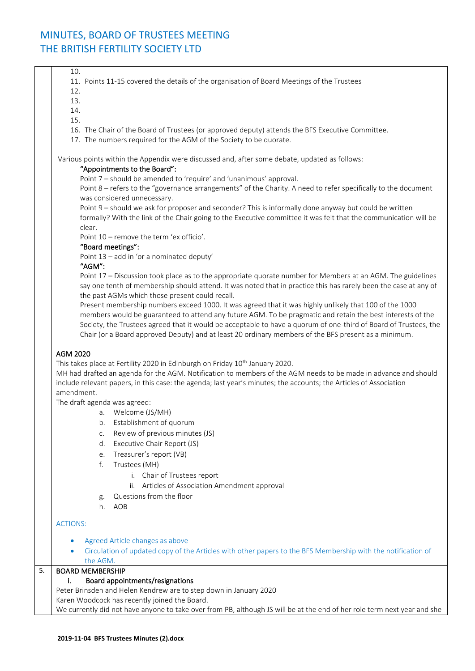10. 11. Points 11-15 covered the details of the organisation of Board Meetings of the Trustees 12. 13. 14. 15. 16. The Chair of the Board of Trustees (or approved deputy) attends the BFS Executive Committee. 17. The numbers required for the AGM of the Society to be quorate. Various points within the Appendix were discussed and, after some debate, updated as follows: "Appointments to the Board": Point 7 – should be amended to 'require' and 'unanimous' approval. Point 8 – refers to the "governance arrangements" of the Charity. A need to refer specifically to the document was considered unnecessary. Point 9 – should we ask for proposer and seconder? This is informally done anyway but could be written formally? With the link of the Chair going to the Executive committee it was felt that the communication will be clear. Point 10 – remove the term 'ex officio'. "Board meetings": Point 13 – add in 'or a nominated deputy' "AGM": Point 17 – Discussion took place as to the appropriate quorate number for Members at an AGM. The guidelines say one tenth of membership should attend. It was noted that in practice this has rarely been the case at any of the past AGMs which those present could recall. Present membership numbers exceed 1000. It was agreed that it was highly unlikely that 100 of the 1000 members would be guaranteed to attend any future AGM. To be pragmatic and retain the best interests of the Society, the Trustees agreed that it would be acceptable to have a quorum of one-third of Board of Trustees, the Chair (or a Board approved Deputy) and at least 20 ordinary members of the BFS present as a minimum. AGM 2020 This takes place at Fertility 2020 in Edinburgh on Friday 10<sup>th</sup> January 2020. MH had drafted an agenda for the AGM. Notification to members of the AGM needs to be made in advance and should include relevant papers, in this case: the agenda; last year's minutes; the accounts; the Articles of Association amendment. The draft agenda was agreed: a. Welcome (JS/MH) b. Establishment of quorum c. Review of previous minutes (JS) d. Executive Chair Report (JS) e. Treasurer's report (VB) f. Trustees (MH) i. Chair of Trustees report ii. Articles of Association Amendment approval g. Questions from the floor h. AOB ACTIONS: • Agreed Article changes as above • Circulation of updated copy of the Articles with other papers to the BFS Membership with the notification of the AGM. 5. BOARD MEMBERSHIP i. Board appointments/resignations Peter Brinsden and Helen Kendrew are to step down in January 2020 Karen Woodcock has recently joined the Board. We currently did not have anyone to take over from PB, although JS will be at the end of her role term next year and she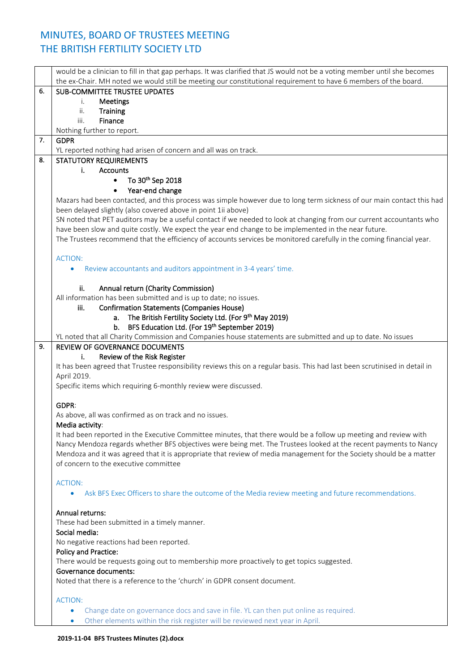|    | would be a clinician to fill in that gap perhaps. It was clarified that JS would not be a voting member until she becomes   |
|----|-----------------------------------------------------------------------------------------------------------------------------|
|    | the ex-Chair. MH noted we would still be meeting our constitutional requirement to have 6 members of the board.             |
| 6. | <b>SUB-COMMITTEE TRUSTEE UPDATES</b>                                                                                        |
|    | Meetings<br>i.                                                                                                              |
|    | ii.<br><b>Training</b>                                                                                                      |
|    | Finance<br>iii.                                                                                                             |
|    | Nothing further to report.                                                                                                  |
| 7. | <b>GDPR</b>                                                                                                                 |
|    | YL reported nothing had arisen of concern and all was on track.                                                             |
| 8. | <b>STATUTORY REQUIREMENTS</b>                                                                                               |
|    | <b>Accounts</b><br>i.                                                                                                       |
|    | To 30 <sup>th</sup> Sep 2018<br>$\bullet$                                                                                   |
|    | Year-end change                                                                                                             |
|    | Mazars had been contacted, and this process was simple however due to long term sickness of our main contact this had       |
|    | been delayed slightly (also covered above in point 1ii above)                                                               |
|    | SN noted that PET auditors may be a useful contact if we needed to look at changing from our current accountants who        |
|    | have been slow and quite costly. We expect the year end change to be implemented in the near future.                        |
|    | The Trustees recommend that the efficiency of accounts services be monitored carefully in the coming financial year.        |
|    |                                                                                                                             |
|    | <b>ACTION:</b>                                                                                                              |
|    | Review accountants and auditors appointment in 3-4 years' time.                                                             |
|    |                                                                                                                             |
|    | Annual return (Charity Commission)<br>ii.                                                                                   |
|    | All information has been submitted and is up to date; no issues.                                                            |
|    | <b>Confirmation Statements (Companies House)</b><br>iii.                                                                    |
|    | The British Fertility Society Ltd. (For 9 <sup>th</sup> May 2019)<br>a.                                                     |
|    | BFS Education Ltd. (For 19th September 2019)<br>b.                                                                          |
|    | YL noted that all Charity Commission and Companies house statements are submitted and up to date. No issues                 |
| 9. | REVIEW OF GOVERNANCE DOCUMENTS                                                                                              |
|    | Review of the Risk Register<br>i.                                                                                           |
|    | It has been agreed that Trustee responsibility reviews this on a regular basis. This had last been scrutinised in detail in |
|    | April 2019.                                                                                                                 |
|    | Specific items which requiring 6-monthly review were discussed.                                                             |
|    |                                                                                                                             |
|    | GDPR:                                                                                                                       |
|    | As above, all was confirmed as on track and no issues.                                                                      |
|    | Media activity:                                                                                                             |
|    | It had been reported in the Executive Committee minutes, that there would be a follow up meeting and review with            |
|    | Nancy Mendoza regards whether BFS objectives were being met. The Trustees looked at the recent payments to Nancy            |
|    | Mendoza and it was agreed that it is appropriate that review of media management for the Society should be a matter         |
|    | of concern to the executive committee                                                                                       |
|    |                                                                                                                             |
|    | <b>ACTION:</b>                                                                                                              |
|    | Ask BFS Exec Officers to share the outcome of the Media review meeting and future recommendations.<br>$\bullet$             |
|    |                                                                                                                             |
|    | Annual returns:                                                                                                             |
|    | These had been submitted in a timely manner.                                                                                |
|    | Social media:                                                                                                               |
|    | No negative reactions had been reported.                                                                                    |
|    | <b>Policy and Practice:</b>                                                                                                 |
|    | There would be requests going out to membership more proactively to get topics suggested.                                   |
|    | Governance documents:                                                                                                       |
|    | Noted that there is a reference to the 'church' in GDPR consent document.                                                   |
|    |                                                                                                                             |
|    | <b>ACTION:</b>                                                                                                              |
|    | Change date on governance docs and save in file. YL can then put online as required.<br>$\bullet$                           |
|    | Other elements within the risk register will be reviewed next year in April.<br>$\bullet$                                   |
|    |                                                                                                                             |